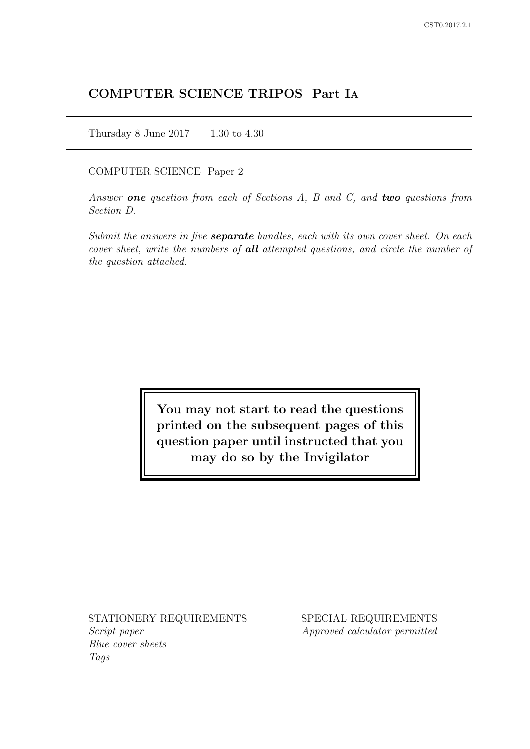# COMPUTER SCIENCE TRIPOS Part IA

Thursday 8 June 2017 1.30 to 4.30

### COMPUTER SCIENCE Paper 2

Answer one question from each of Sections  $A$ ,  $B$  and  $C$ , and two questions from Section D.

Submit the answers in five **separate** bundles, each with its own cover sheet. On each cover sheet, write the numbers of **all** attempted questions, and circle the number of the question attached.

> You may not start to read the questions printed on the subsequent pages of this question paper until instructed that you may do so by the Invigilator

STATIONERY REQUIREMENTS Script paper

Blue cover sheets Tags

SPECIAL REQUIREMENTS Approved calculator permitted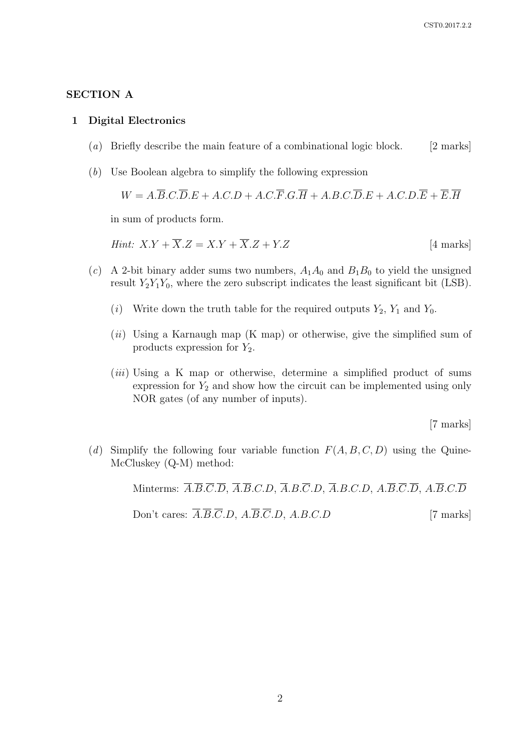### SECTION A

#### 1 Digital Electronics

- (a) Briefly describe the main feature of a combinational logic block. [2 marks]
- (b) Use Boolean algebra to simplify the following expression

 $W = A \cdot \overline{B} \cdot C \cdot \overline{D} \cdot E + A \cdot C \cdot D + A \cdot C \cdot \overline{F} \cdot G \cdot \overline{H} + A \cdot B \cdot C \cdot \overline{D} \cdot E + A \cdot C \cdot D \cdot \overline{E} + \overline{E} \cdot \overline{H}$ 

in sum of products form.

*Hint:* 
$$
X.Y + \overline{X}.Z = X.Y + \overline{X}.Z + Y.Z
$$
 [4 marks]

- (c) A 2-bit binary adder sums two numbers,  $A_1A_0$  and  $B_1B_0$  to yield the unsigned result  $Y_2Y_1Y_0$ , where the zero subscript indicates the least significant bit (LSB).
	- (i) Write down the truth table for the required outputs  $Y_2$ ,  $Y_1$  and  $Y_0$ .
	- $(ii)$  Using a Karnaugh map (K map) or otherwise, give the simplified sum of products expression for  $Y_2$ .
	- $(iii)$  Using a K map or otherwise, determine a simplified product of sums expression for  $Y_2$  and show how the circuit can be implemented using only NOR gates (of any number of inputs).

[7 marks]

(d) Simplify the following four variable function  $F(A, B, C, D)$  using the Quine-McCluskey (Q-M) method:

> Minterms:  $\overline{A}.\overline{B}.\overline{C}.\overline{D}, \overline{A}.\overline{B}.\overline{C}.\overline{D}, \overline{A}.\overline{B}.\overline{C}.\overline{D}, \overline{A}.\overline{B}.\overline{C}.\overline{D}, \overline{A}.\overline{B}.\overline{C}.\overline{D}, A.\overline{B}.\overline{C}.\overline{D}$ Don't cares:  $\overline{A}.\overline{B}.\overline{C}.\overline{D}, A.\overline{B}.\overline{C}.\overline{D}, A.B.C.D$  [7 marks]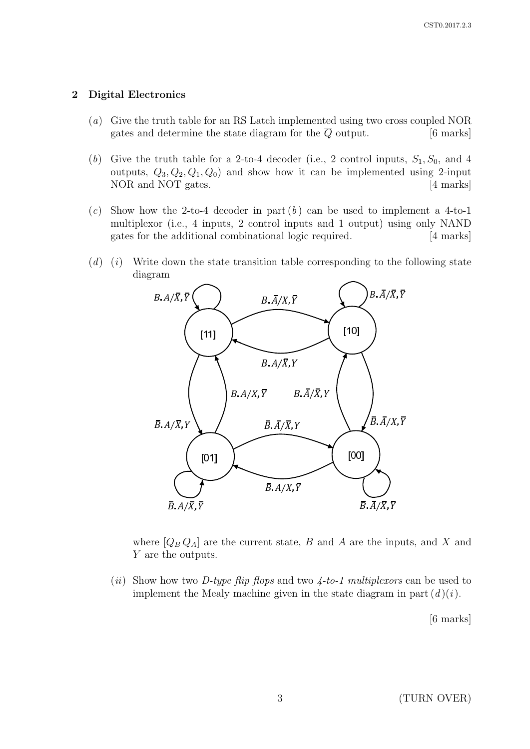### 2 Digital Electronics

- (a) Give the truth table for an RS Latch implemented using two cross coupled NOR gates and determine the state diagram for the  $\overline{Q}$  output. [6 marks]
- (b) Give the truth table for a 2-to-4 decoder (i.e., 2 control inputs,  $S_1, S_0$ , and 4 outputs,  $Q_3, Q_2, Q_1, Q_0$  and show how it can be implemented using 2-input NOR and NOT gates. [4 marks]
- (c) Show how the 2-to-4 decoder in part  $(b)$  can be used to implement a 4-to-1 multiplexor (i.e., 4 inputs, 2 control inputs and 1 output) using only NAND gates for the additional combinational logic required. [4 marks]
- $(d)$  (i) Write down the state transition table corresponding to the following state diagram



where  $[Q_B Q_A]$  are the current state, B and A are the inputs, and X and Y are the outputs.

(ii) Show how two D-type flip flops and two  $\mu$ -to-1 multiplexors can be used to implement the Mealy machine given in the state diagram in part  $(d)(i)$ .

[6 marks]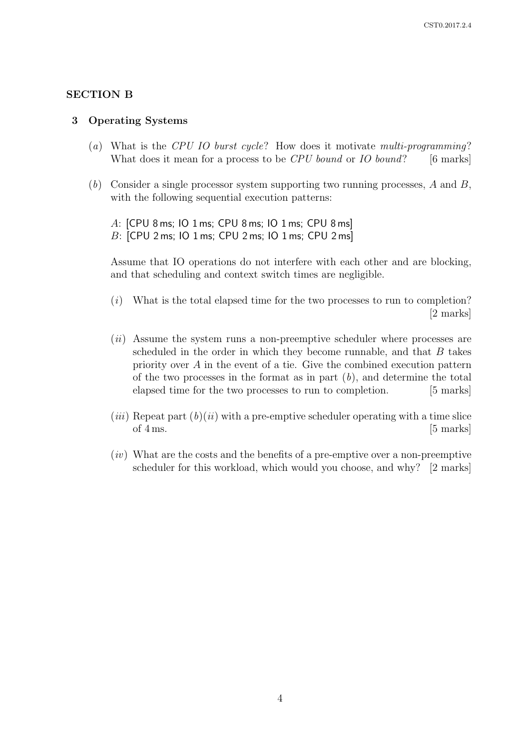### SECTION B

#### 3 Operating Systems

- (a) What is the CPU IO burst cycle? How does it motivate multi-programming? What does it mean for a process to be  $CPU$  bound or  $IO$  bound? [6 marks]
- $(b)$  Consider a single processor system supporting two running processes, A and B, with the following sequential execution patterns:

A: [CPU 8 ms; IO 1 ms; CPU 8 ms; IO 1 ms; CPU 8 ms] B: [CPU 2 ms; IO 1 ms; CPU 2 ms; IO 1 ms; CPU 2 ms]

Assume that IO operations do not interfere with each other and are blocking, and that scheduling and context switch times are negligible.

- (i) What is the total elapsed time for the two processes to run to completion? [2 marks]
- (*ii*) Assume the system runs a non-preemptive scheduler where processes are scheduled in the order in which they become runnable, and that  $B$  takes priority over A in the event of a tie. Give the combined execution pattern of the two processes in the format as in part  $(b)$ , and determine the total elapsed time for the two processes to run to completion. [5 marks]
- (*iii*) Repeat part  $(b)(ii)$  with a pre-emptive scheduler operating with a time slice of  $4 \text{ ms.}$  [5 marks]
- $(iv)$  What are the costs and the benefits of a pre-emptive over a non-preemptive scheduler for this workload, which would you choose, and why? [2 marks]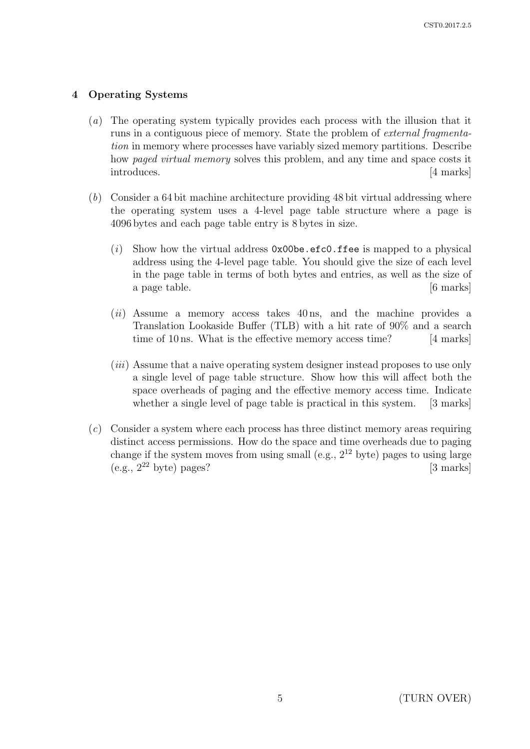## 4 Operating Systems

- (a) The operating system typically provides each process with the illusion that it runs in a contiguous piece of memory. State the problem of external fragmentation in memory where processes have variably sized memory partitions. Describe how *paged virtual memory* solves this problem, and any time and space costs it introduces. [4 marks]
- (b) Consider a 64 bit machine architecture providing 48 bit virtual addressing where the operating system uses a 4-level page table structure where a page is 4096 bytes and each page table entry is 8 bytes in size.
	- (i) Show how the virtual address  $0x00be.efc0.ffee$  is mapped to a physical address using the 4-level page table. You should give the size of each level in the page table in terms of both bytes and entries, as well as the size of a page table. (6 marks)
	- $(ii)$  Assume a memory access takes  $40 \text{ ns}$ , and the machine provides a Translation Lookaside Buffer (TLB) with a hit rate of 90% and a search time of 10 ns. What is the effective memory access time? [4 marks]
	- (*iii*) Assume that a naive operating system designer instead proposes to use only a single level of page table structure. Show how this will affect both the space overheads of paging and the effective memory access time. Indicate whether a single level of page table is practical in this system. [3 marks]
- (c) Consider a system where each process has three distinct memory areas requiring distinct access permissions. How do the space and time overheads due to paging change if the system moves from using small (e.g.,  $2^{12}$  byte) pages to using large  $(e.g., 2<sup>22</sup> byte) pages?$  [3 marks]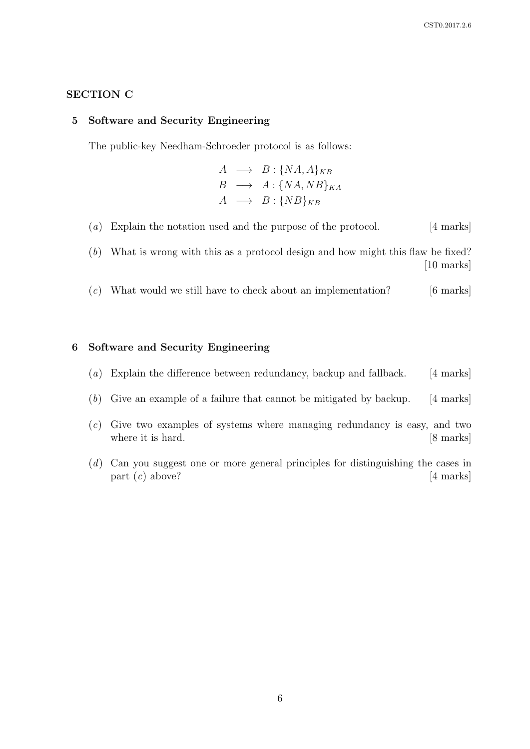### SECTION C

#### 5 Software and Security Engineering

The public-key Needham-Schroeder protocol is as follows:

 $A \rightarrow B : \{NA, A\}_{KB}$  $B \rightarrow A : \{NA, NB\}_{KA}$  $A \rightarrow B : \{NB\}_{KB}$ 

(a) Explain the notation used and the purpose of the protocol. [4 marks]

(b) What is wrong with this as a protocol design and how might this flaw be fixed? [10 marks]

 $(c)$  What would we still have to check about an implementation? [6 marks]

### 6 Software and Security Engineering

- (a) Explain the difference between redundancy, backup and fallback. [4 marks]
- (b) Give an example of a failure that cannot be mitigated by backup. [4 marks]
- $(c)$  Give two examples of systems where managing redundancy is easy, and two where it is hard. [8 marks]
- (d) Can you suggest one or more general principles for distinguishing the cases in part  $(c)$  above? [4 marks]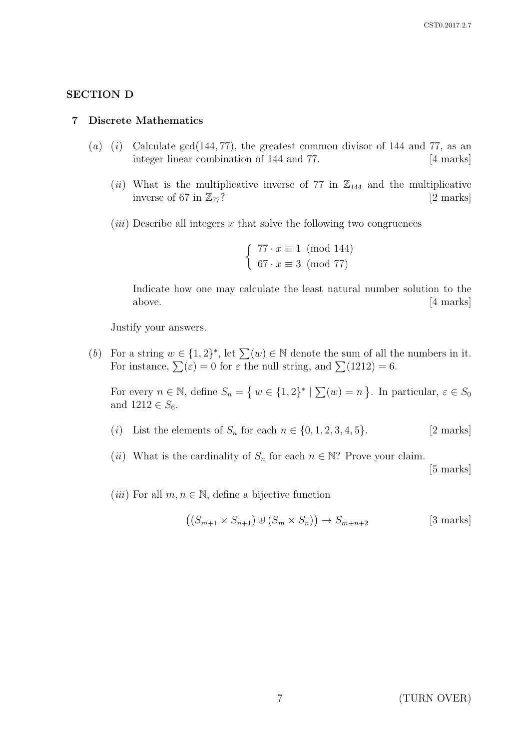### SECTION D

#### 7 Discrete Mathematics

- (a) (i) Calculate gcd(144, 77), the greatest common divisor of 144 and 77, as an integer linear combination of 144 and 77. [4 marks]
	- (ii) What is the multiplicative inverse of 77 in  $\mathbb{Z}_{144}$  and the multiplicative inverse of 67 in  $\mathbb{Z}_{77}$ ? [2 marks]
	- $(iii)$  Describe all integers x that solve the following two congruences

 $\int 77 \cdot x \equiv 1 \pmod{144}$  $67 \cdot x \equiv 3 \pmod{77}$ 

Indicate how one may calculate the least natural number solution to the above. [4 marks]

Justify your answers.

(b) For a string  $w \in \{1,2\}^*$ , let  $\sum(w) \in \mathbb{N}$  denote the sum of all the numbers in it. For instance,  $\sum(\varepsilon) = 0$  for  $\varepsilon$  the null string, and  $\sum(1212) = 6$ .

For every  $n \in \mathbb{N}$ , define  $S_n = \{ w \in \{1,2\}^* \mid \sum(w) = n \}$ . In particular,  $\varepsilon \in S_0$ and  $1212 \in S_6$ .

- (i) List the elements of  $S_n$  for each  $n \in \{0, 1, 2, 3, 4, 5\}.$  [2 marks]
- (*ii*) What is the cardinality of  $S_n$  for each  $n \in \mathbb{N}$ ? Prove your claim.

[5 marks]

(*iii*) For all  $m, n \in \mathbb{N}$ , define a bijective function

$$
((S_{m+1} \times S_{n+1}) \oplus (S_m \times S_n)) \to S_{m+n+2}
$$
 [3 marks]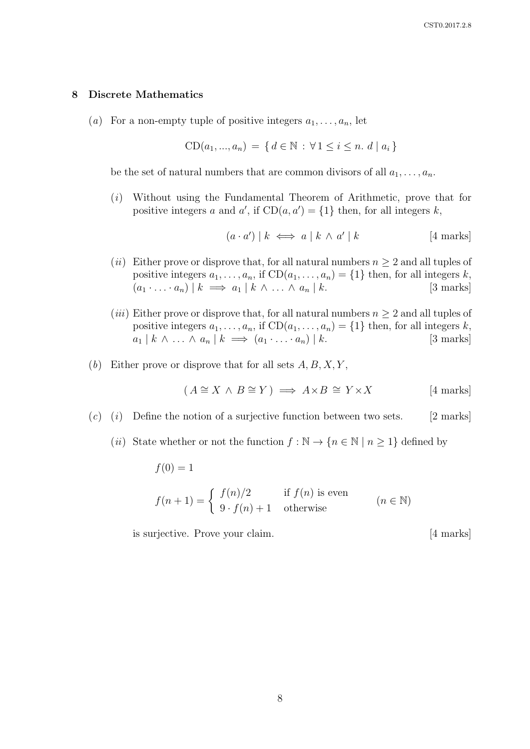#### 8 Discrete Mathematics

(a) For a non-empty tuple of positive integers  $a_1, \ldots, a_n$ , let

$$
CD(a_1, ..., a_n) = \{ d \in \mathbb{N} : \forall 1 \le i \le n. d \mid a_i \}
$$

be the set of natural numbers that are common divisors of all  $a_1, \ldots, a_n$ .

(i) Without using the Fundamental Theorem of Arithmetic, prove that for positive integers a and a', if  $CD(a, a') = \{1\}$  then, for all integers k,

> $(a \cdot a') | k \iff a | k \wedge a'$  $[4$  marks]

- (*ii*) Either prove or disprove that, for all natural numbers  $n \geq 2$  and all tuples of positive integers  $a_1, \ldots, a_n$ , if  $CD(a_1, \ldots, a_n) = \{1\}$  then, for all integers k,  $(a_1 \cdot \ldots \cdot a_n) \mid k \implies a_1 \mid k \wedge \ldots \wedge a_n \mid k.$  [3 marks]
- (*iii*) Either prove or disprove that, for all natural numbers  $n \geq 2$  and all tuples of positive integers  $a_1, \ldots, a_n$ , if  $CD(a_1, \ldots, a_n) = \{1\}$  then, for all integers k,  $a_1 | k \wedge ... \wedge a_n | k \implies (a_1 \cdot ... \cdot a_n) | k.$  [3 marks]
- (b) Either prove or disprove that for all sets  $A, B, X, Y$ ,

$$
(A \cong X \land B \cong Y) \implies A \times B \cong Y \times X \qquad [4 \text{ marks}]
$$

 $(c)$  (i) Define the notion of a surjective function between two sets. [2 marks]

(ii) State whether or not the function  $f : \mathbb{N} \to \{n \in \mathbb{N} \mid n \geq 1\}$  defined by

$$
f(0) = 1
$$
  

$$
f(n+1) = \begin{cases} f(n)/2 & \text{if } f(n) \text{ is even} \\ 9 \cdot f(n) + 1 & \text{otherwise} \end{cases} (n \in \mathbb{N})
$$

is surjective. Prove your claim. [4 marks]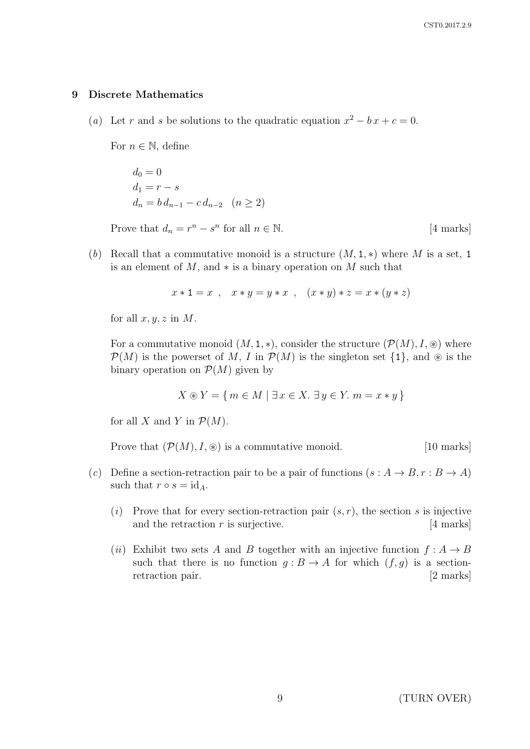#### 9 Discrete Mathematics

(a) Let r and s be solutions to the quadratic equation  $x^2 - bx + c = 0$ .

For  $n \in \mathbb{N}$ , define

$$
d_0 = 0
$$
  
\n
$$
d_1 = r - s
$$
  
\n
$$
d_n = b d_{n-1} - c d_{n-2} \quad (n \ge 2)
$$
  
\nProve that 
$$
d_n = r^n - s^n
$$
 for all  $n \in \mathbb{N}$ . [4 marks]

(b) Recall that a commutative monoid is a structure  $(M, 1, *)$  where M is a set, 1 is an element of  $M$ , and  $*$  is a binary operation on  $M$  such that

$$
x * 1 = x , x * y = y * x , (x * y) * z = x * (y * z)
$$

for all  $x, y, z$  in M.

For a commutative monoid  $(M, 1, *)$ , consider the structure  $(\mathcal{P}(M), I, \circledast)$  where  $\mathcal{P}(M)$  is the powerset of M, I in  $\mathcal{P}(M)$  is the singleton set  $\{1\}$ , and  $\otimes$  is the binary operation on  $\mathcal{P}(M)$  given by

$$
X \circledast Y = \{ m \in M \mid \exists x \in X. \exists y \in Y. \ m = x * y \}
$$

for all X and Y in  $\mathcal{P}(M)$ .

Prove that  $(\mathcal{P}(M), I, \circledast)$  is a commutative monoid. [10 marks]

- (c) Define a section-retraction pair to be a pair of functions  $(s : A \to B, r : B \to A)$ such that  $r \circ s = \mathrm{id}_A$ .
	- (i) Prove that for every section-retraction pair  $(s, r)$ , the section s is injective and the retraction  $r$  is surjective. [4 marks]
	- (ii) Exhibit two sets A and B together with an injective function  $f : A \rightarrow B$ such that there is no function  $g : B \to A$  for which  $(f, g)$  is a sectionretraction pair. [2 marks]